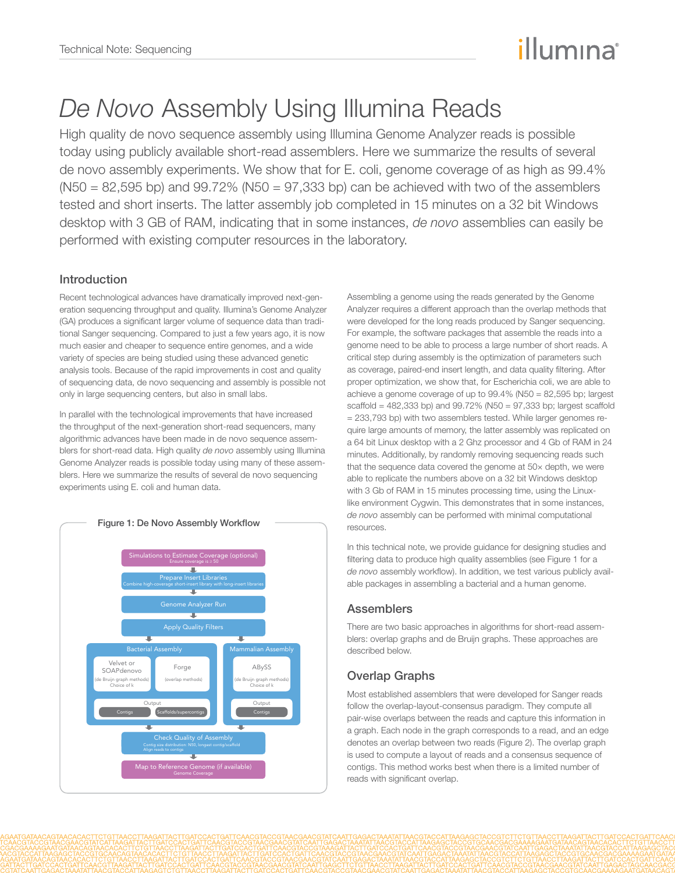# illumına

# *De Novo* Assembly Using Illumina Reads

High quality de novo sequence assembly using Illumina Genome Analyzer reads is possible today using publicly available short-read assemblers. Here we summarize the results of several de novo assembly experiments. We show that for E. coli, genome coverage of as high as 99.4%  $(N50 = 82,595$  bp) and  $99.72\%$  (N50 = 97,333 bp) can be achieved with two of the assemblers tested and short inserts. The latter assembly job completed in 15 minutes on a 32 bit Windows desktop with 3 GB of RAM, indicating that in some instances, *de novo* assemblies can easily be performed with existing computer resources in the laboratory.

# Introduction

Recent technological advances have dramatically improved next-generation sequencing throughput and quality. Illumina's Genome Analyzer (GA) produces a significant larger volume of sequence data than traditional Sanger sequencing. Compared to just a few years ago, it is now much easier and cheaper to sequence entire genomes, and a wide variety of species are being studied using these advanced genetic analysis tools. Because of the rapid improvements in cost and quality of sequencing data, de novo sequencing and assembly is possible not only in large sequencing centers, but also in small labs.

In parallel with the technological improvements that have increased the throughput of the next-generation short-read sequencers, many algorithmic advances have been made in de novo sequence assemblers for short-read data. High quality *de novo* assembly using Illumina Genome Analyzer reads is possible today using many of these assemblers. Here we summarize the results of several de novo sequencing experiments using E. coli and human data.



Assembling a genome using the reads generated by the Genome Analyzer requires a different approach than the overlap methods that were developed for the long reads produced by Sanger sequencing. For example, the software packages that assemble the reads into a genome need to be able to process a large number of short reads. A critical step during assembly is the optimization of parameters such as coverage, paired-end insert length, and data quality filtering. After proper optimization, we show that, for Escherichia coli, we are able to achieve a genome coverage of up to 99.4% (N50 = 82,595 bp; largest scaffold = 482,333 bp) and 99.72% (N50 = 97,333 bp; largest scaffold = 233,793 bp) with two assemblers tested. While larger genomes require large amounts of memory, the latter assembly was replicated on a 64 bit Linux desktop with a 2 Ghz processor and 4 Gb of RAM in 24 minutes. Additionally, by randomly removing sequencing reads such that the sequence data covered the genome at 50× depth, we were able to replicate the numbers above on a 32 bit Windows desktop with 3 Gb of RAM in 15 minutes processing time, using the Linuxlike environment Cygwin. This demonstrates that in some instances, *de novo* assembly can be performed with minimal computational resources.

In this technical note, we provide guidance for designing studies and filtering data to produce high quality assemblies (see Figure 1 for a *de novo* assembly workflow). In addition, we test various publicly available packages in assembling a bacterial and a human genome.

# **Assemblers**

There are two basic approaches in algorithms for short-read assemblers: overlap graphs and de Bruijn graphs. These approaches are described below.

# Overlap Graphs

Most established assemblers that were developed for Sanger reads follow the overlap-layout-consensus paradigm. They compute all pair-wise overlaps between the reads and capture this information in a graph. Each node in the graph corresponds to a read, and an edge denotes an overlap between two reads (Figure 2). The overlap graph is used to compute a layout of reads and a consensus sequence of contigs. This method works best when there is a limited number of reads with significant overlap.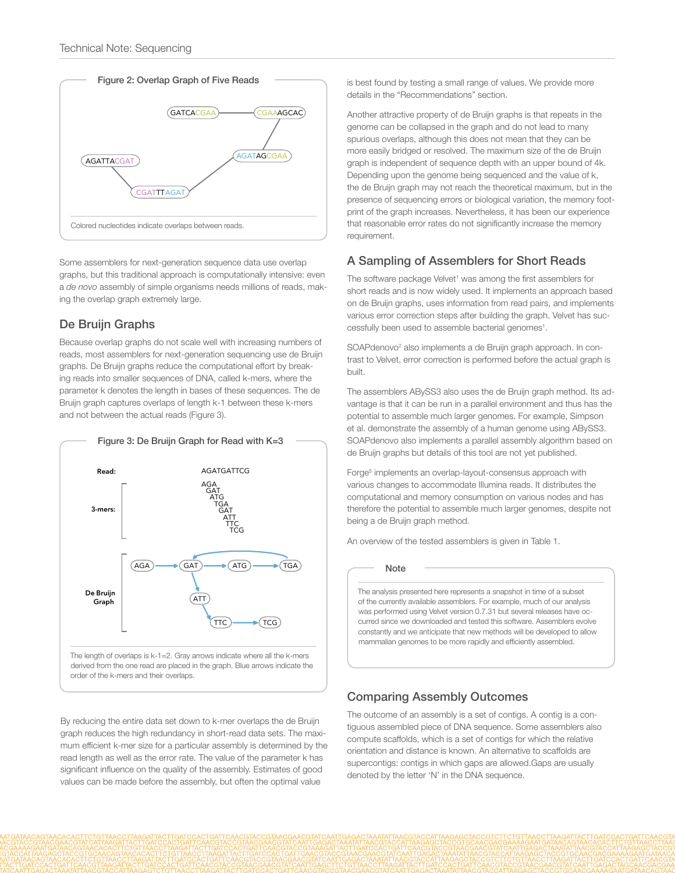



Some assemblers for next-generation sequence data use overlap graphs, but this traditional approach is computationally intensive: even a *de novo* assembly of simple organisms needs millions of reads, making the overlap graph extremely large.

### De Bruijn Graphs

Because overlap graphs do not scale well with increasing numbers of reads, most assemblers for next-generation sequencing use de Bruijn graphs. De Bruijn graphs reduce the computational effort by breaking reads into smaller sequences of DNA, called k-mers, where the parameter k denotes the length in bases of these sequences. The de Bruijn graph captures overlaps of length k-1 between these k-mers and not between the actual reads (Figure 3).



By reducing the entire data set down to k-mer overlaps the de Bruijn graph reduces the high redundancy in short-read data sets. The maximum efficient k-mer size for a particular assembly is determined by the read length as well as the error rate. The value of the parameter k has significant influence on the quality of the assembly. Estimates of good values can be made before the assembly, but often the optimal value

is best found by testing a small range of values. We provide more details in the "Recommendations" section.

Another attractive property of de Bruijn graphs is that repeats in the genome can be collapsed in the graph and do not lead to many spurious overlaps, although this does not mean that they can be more easily bridged or resolved. The maximum size of the de Bruijn graph is independent of sequence depth with an upper bound of 4k. Depending upon the genome being sequenced and the value of k, the de Bruijn graph may not reach the theoretical maximum, but in the presence of sequencing errors or biological variation, the memory footprint of the graph increases. Nevertheless, it has been our experience that reasonable error rates do not significantly increase the memory requirement.

## A Sampling of Assemblers for Short Reads

The software package Velvet<sup>1</sup> was among the first assemblers for short reads and is now widely used. It implements an approach based on de Bruijn graphs, uses information from read pairs, and implements various error correction steps after building the graph. Velvet has successfully been used to assemble bacterial genomes<sup>1</sup>.

SOAPdenovo<sup>2</sup> also implements a de Bruijn graph approach. In contrast to Velvet, error correction is performed before the actual graph is built.

The assemblers ABySS3 also uses the de Bruijn graph method. Its advantage is that it can be run in a parallel environment and thus has the potential to assemble much larger genomes. For example, Simpson et al. demonstrate the assembly of a human genome using ABySS3. SOAPdenovo also implements a parallel assembly algorithm based on de Bruijn graphs but details of this tool are not yet published.

Forge<sup>5</sup> implements an overlap-layout-consensus approach with various changes to accommodate Illumina reads. It distributes the computational and memory consumption on various nodes and has therefore the potential to assemble much larger genomes, despite not being a de Bruijn graph method.

An overview of the tested assemblers is given in Table 1.

**Note** 

The analysis presented here represents a snapshot in time of a subset of the currently available assemblers. For example, much of our analysis was performed using Velvet version 0.7.31 but several releases have occurred since we downloaded and tested this software. Assemblers evolve constantly and we anticipate that new methods will be developed to allow mammalian genomes to be more rapidly and efficiently assembled.

## Comparing Assembly Outcomes

The outcome of an assembly is a set of contigs. A contig is a contiguous assembled piece of DNA sequence. Some assemblers also compute scaffolds, which is a set of contigs for which the relative orientation and distance is known. An alternative to scaffolds are supercontigs: contigs in which gaps are allowed.Gaps are usually denoted by the letter 'N' in the DNA sequence.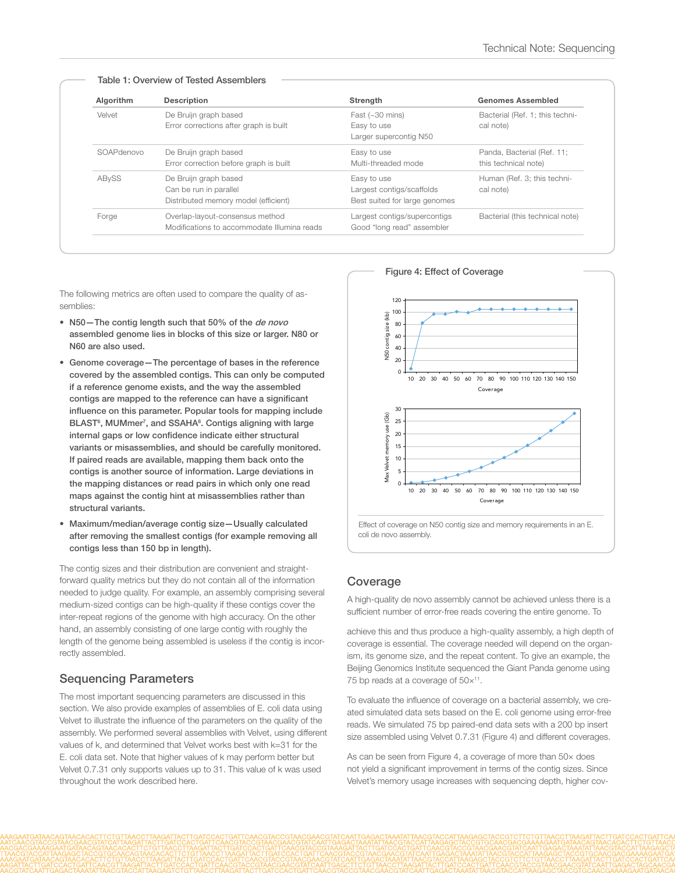| Algorithm  | <b>Description</b>                          | Strength                      | <b>Genomes Assembled</b>        |
|------------|---------------------------------------------|-------------------------------|---------------------------------|
| Velvet     | De Bruijn graph based                       | Fast $(-30 \text{ mins})$     | Bacterial (Ref. 1; this techni- |
|            | Error corrections after graph is built      | Easy to use                   | cal note)                       |
|            |                                             | Larger supercontig N50        |                                 |
| SOAPdenovo | De Bruijn graph based                       | Easy to use                   | Panda, Bacterial (Ref. 11;      |
|            | Error correction before graph is built      | Multi-threaded mode           | this technical note)            |
| ABySS      | De Bruijn graph based                       | Easy to use                   | Human (Ref. 3; this techni-     |
|            | Can be run in parallel                      | Largest contigs/scaffolds     | cal note)                       |
|            | Distributed memory model (efficient)        | Best suited for large genomes |                                 |
| Forge      | Overlap-layout-consensus method             | Largest contigs/supercontigs  | Bacterial (this technical note) |
|            | Modifications to accommodate Illumina reads | Good "long read" assembler    |                                 |

#### Table 1: Overview of Tested Assemblers

The following metrics are often used to compare the quality of assemblies:

- N50-The contig length such that 50% of the de novo assembled genome lies in blocks of this size or larger. N80 or N60 are also used.
- • Genome coverage—The percentage of bases in the reference covered by the assembled contigs. This can only be computed if a reference genome exists, and the way the assembled contigs are mapped to the reference can have a significant influence on this parameter. Popular tools for mapping include BLAST<sup>6</sup>, MUMmer<sup>7</sup>, and SSAHA<sup>8</sup>. Contigs aligning with large internal gaps or low confidence indicate either structural variants or misassemblies, and should be carefully monitored. If paired reads are available, mapping them back onto the contigs is another source of information. Large deviations in the mapping distances or read pairs in which only one read maps against the contig hint at misassemblies rather than structural variants.
- • Maximum/median/average contig size—Usually calculated after removing the smallest contigs (for example removing all contigs less than 150 bp in length).

The contig sizes and their distribution are convenient and straightforward quality metrics but they do not contain all of the information needed to judge quality. For example, an assembly comprising several medium-sized contigs can be high-quality if these contigs cover the inter-repeat regions of the genome with high accuracy. On the other hand, an assembly consisting of one large contig with roughly the length of the genome being assembled is useless if the contig is incorrectly assembled.

## Sequencing Parameters

The most important sequencing parameters are discussed in this section. We also provide examples of assemblies of E. coli data using Velvet to illustrate the influence of the parameters on the quality of the assembly. We performed several assemblies with Velvet, using different values of k, and determined that Velvet works best with k=31 for the E. coli data set. Note that higher values of k may perform better but Velvet 0.7.31 only supports values up to 31. This value of k was used throughout the work described here.



#### Figure 4: Effect of Coverage

Effect of coverage on N50 contig size and memory requirements in an E. coli de novo assembly.

#### Coverage

A high-quality de novo assembly cannot be achieved unless there is a sufficient number of error-free reads covering the entire genome. To

achieve this and thus produce a high-quality assembly, a high depth of coverage is essential. The coverage needed will depend on the organism, its genome size, and the repeat content. To give an example, the Beijing Genomics Institute sequenced the Giant Panda genome using 75 bp reads at a coverage of  $50\times^{11}$ .

To evaluate the influence of coverage on a bacterial assembly, we created simulated data sets based on the E. coli genome using error-free reads. We simulated 75 bp paired-end data sets with a 200 bp insert size assembled using Velvet 0.7.31 (Figure 4) and different coverages.

As can be seen from Figure 4, a coverage of more than 50× does not yield a significant improvement in terms of the contig sizes. Since Velvet's memory usage increases with sequencing depth, higher cov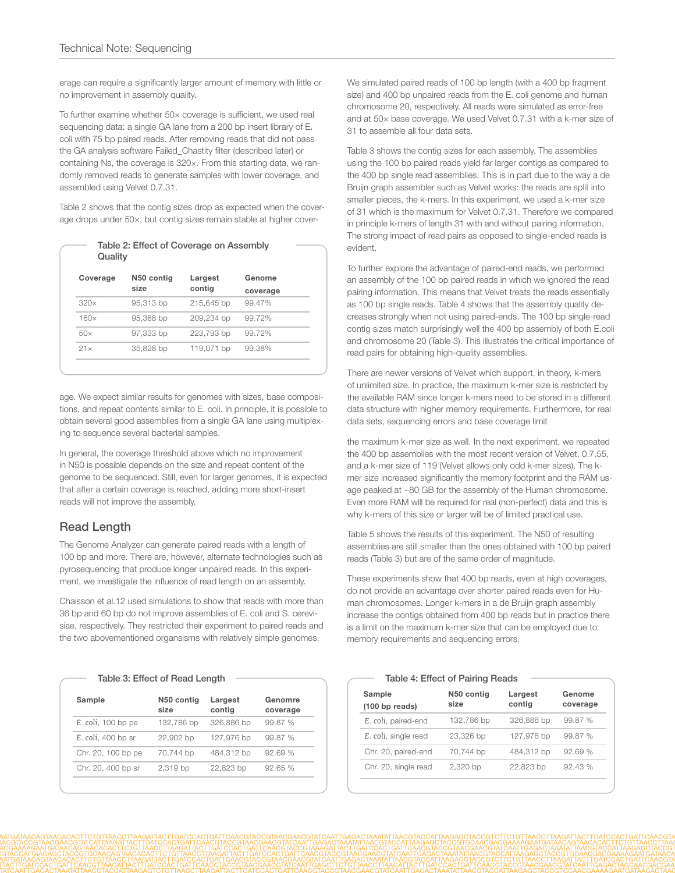erage can require a significantly larger amount of memory with little or no improvement in assembly quality.

To further examine whether 50× coverage is sufficient, we used real sequencing data: a single GA lane from a 200 bp insert library of E. coli with 75 bp paired reads. After removing reads that did not pass the GA analysis software Failed\_Chastity filter (described later) or containing Ns, the coverage is 320×. From this starting data, we randomly removed reads to generate samples with lower coverage, and assembled using Velvet 0.7.31.

Table 2 shows that the contig sizes drop as expected when the coverage drops under 50×, but contig sizes remain stable at higher cover-

| Quality     | Table 2: Effect of Coverage on Assembly |            |          |
|-------------|-----------------------------------------|------------|----------|
| Coverage    | N50 contig                              | Largest    | Genome   |
|             | size                                    | contig     | coverage |
| 320x        | 95,313 bp                               | 215,645 bp | 99.47%   |
| $160\times$ | 95,368 bp                               | 209,234 bp | 99.72%   |
| $50\times$  | 97,333 bp                               | 223,793 bp | 99.72%   |
| 21x         | 35,828 bp                               | 119,071 bp | 99.38%   |
|             |                                         |            |          |

age. We expect similar results for genomes with sizes, base compositions, and repeat contents similar to E. coli. In principle, it is possible to obtain several good assemblies from a single GA lane using multiplexing to sequence several bacterial samples.

In general, the coverage threshold above which no improvement in N50 is possible depends on the size and repeat content of the genome to be sequenced. Still, even for larger genomes, it is expected that after a certain coverage is reached, adding more short-insert reads will not improve the assembly.

## Read Length

The Genome Analyzer can generate paired reads with a length of 100 bp and more. There are, however, alternate technologies such as pyrosequencing that produce longer unpaired reads. In this experiment, we investigate the influence of read length on an assembly.

Chaisson et al.12 used simulations to show that reads with more than 36 bp and 60 bp do not improve assemblies of E. coli and S. cerevisiae, respectively. They restricted their experiment to paired reads and the two abovementioned organsisms with relatively simple genomes.

#### Table 3: Effect of Read Length

| Sample             | N50 contig<br>size | Largest<br>contig | Genomre<br>coverage |
|--------------------|--------------------|-------------------|---------------------|
| E. coli, 100 bp pe | 132,786 bp         | 326,886 bp        | 99.87 %             |
| E. coli, 400 bp sr | 22,902 bp          | 127,976 bp        | 99.87 %             |
| Chr. 20, 100 bp pe | 70,744 bp          | 484,312 bp        | 92.69%              |
| Chr. 20, 400 bp sr | 2,319 bp           | 22,823 bp         | 92.65%              |
|                    |                    |                   |                     |

We simulated paired reads of 100 bp length (with a 400 bp fragment size) and 400 bp unpaired reads from the E. coli genome and human chromosome 20, respectively. All reads were simulated as error-free and at 50× base coverage. We used Velvet 0.7.31 with a k-mer size of 31 to assemble all four data sets.

Table 3 shows the contig sizes for each assembly. The assemblies using the 100 bp paired reads yield far larger contigs as compared to the 400 bp single read assemblies. This is in part due to the way a de Bruijn graph assembler such as Velvet works: the reads are split into smaller pieces, the k-mers. In this experiment, we used a k-mer size of 31 which is the maximum for Velvet 0.7.31. Therefore we compared in principle k-mers of length 31 with and without pairing information. The strong impact of read pairs as opposed to single-ended reads is evident.

To further explore the advantage of paired-end reads, we performed an assembly of the 100 bp paired reads in which we ignored the read pairing information. This means that Velvet treats the reads essentially as 100 bp single reads. Table 4 shows that the assembly quality decreases strongly when not using paired-ends. The 100 bp single-read contig sizes match surprisingly well the 400 bp assembly of both E.coli and chromosome 20 (Table 3). This illustrates the critical importance of read pairs for obtaining high-quality assemblies.

There are newer versions of Velvet which support, in theory, k-mers of unlimited size. In practice, the maximum k-mer size is restricted by the available RAM since longer k-mers need to be stored in a different data structure with higher memory requirements. Furthermore, for real data sets, sequencing errors and base coverage limit

the maximum k-mer size as well. In the next experiment, we repeated the 400 bp assemblies with the most recent version of Velvet, 0.7.55, and a k-mer size of 119 (Velvet allows only odd k-mer sizes). The kmer size increased significantly the memory footprint and the RAM usage peaked at ~80 GB for the assembly of the Human chromosome. Even more RAM will be required for real (non-perfect) data and this is why k-mers of this size or larger will be of limited practical use.

Table 5 shows the results of this experiment. The N50 of resulting assemblies are still smaller than the ones obtained with 100 bp paired reads (Table 3) but are of the same order of magnitude.

These experiments show that 400 bp reads, even at high coverages, do not provide an advantage over shorter paired reads even for Human chromosomes. Longer k-mers in a de Bruijn graph assembly increase the contigs obtained from 400 bp reads but in practice there is a limit on the maximum k-mer size that can be employed due to memory requirements and sequencing errors.

#### Table 4: Effect of Pairing Reads

| N50 contig<br>size | Largest<br>contig | Genome<br>coverage |
|--------------------|-------------------|--------------------|
| 132,786 bp         | 326,886 bp        | 99.87 %            |
| 23,326 bp          | 127,976 bp        | 99.87 %            |
| 70,744 bp          | 484,312 bp        | 92.69%             |
| 2,320 bp           | 22,823 bp         | 92.43 %            |
|                    |                   |                    |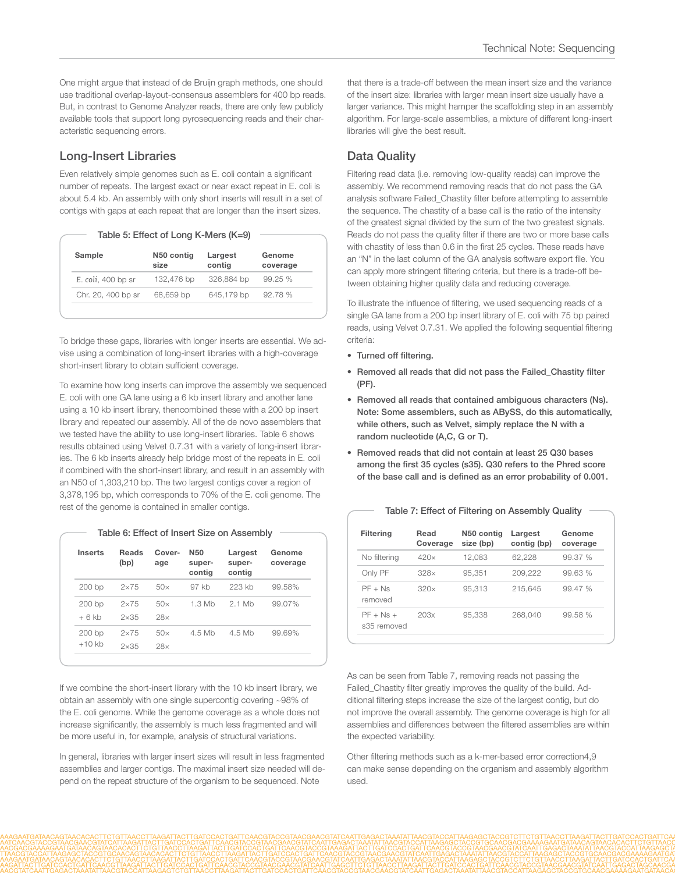One might argue that instead of de Bruijn graph methods, one should use traditional overlap-layout-consensus assemblers for 400 bp reads. But, in contrast to Genome Analyzer reads, there are only few publicly available tools that support long pyrosequencing reads and their characteristic sequencing errors.

## Long-Insert Libraries

Even relatively simple genomes such as E. coli contain a significant number of repeats. The largest exact or near exact repeat in E. coli is about 5.4 kb. An assembly with only short inserts will result in a set of contigs with gaps at each repeat that are longer than the insert sizes.

| Table 5: Effect of Long K-Mers (K=9) |  |
|--------------------------------------|--|
|--------------------------------------|--|

| Sample             | N50 contig<br>size | Largest<br>contig | Genome<br>coverage |
|--------------------|--------------------|-------------------|--------------------|
| E. coli, 400 bp sr | 132,476 bp         | 326,884 bp        | 99.25%             |
| Chr. 20, 400 bp sr | 68,659 bp          | 645,179 bp        | 92.78%             |

To bridge these gaps, libraries with longer inserts are essential. We advise using a combination of long-insert libraries with a high-coverage short-insert library to obtain sufficient coverage.

To examine how long inserts can improve the assembly we sequenced E. coli with one GA lane using a 6 kb insert library and another lane using a 10 kb insert library, thencombined these with a 200 bp insert library and repeated our assembly. All of the de novo assemblers that we tested have the ability to use long-insert libraries. Table 6 shows results obtained using Velvet 0.7.31 with a variety of long-insert libraries. The 6 kb inserts already help bridge most of the repeats in E. coli if combined with the short-insert library, and result in an assembly with an N50 of 1,303,210 bp. The two largest contigs cover a region of 3,378,195 bp, which corresponds to 70% of the E. coli genome. The rest of the genome is contained in smaller contigs.

| <b>Inserts</b> | <b>Reads</b><br>(bp) | Cover-<br>age | N <sub>50</sub><br>super-<br>contig | Largest<br>super-<br>contig | Genome<br>coverage |
|----------------|----------------------|---------------|-------------------------------------|-----------------------------|--------------------|
| 200 bp         | $2\times 75$         | $50\times$    | 97 kb                               | 223 kh                      | 99.58%             |
| $200$ bp       | $2\times 75$         | 50x           | 1.3 Mb                              | 2 1 Mh                      | 99.07%             |
| $+6$ kb        | $2\times35$          | 28x           |                                     |                             |                    |
| $200$ bp       | $2\times 75$         | $50\times$    | 4.5 Mb                              | 4.5 Mb                      | 99.69%             |
| $+10$ kb       | $2\times35$          | 28x           |                                     |                             |                    |

If we combine the short-insert library with the 10 kb insert library, we obtain an assembly with one single supercontig covering ~98% of the E. coli genome. While the genome coverage as a whole does not increase significantly, the assembly is much less fragmented and will be more useful in, for example, analysis of structural variations.

In general, libraries with larger insert sizes will result in less fragmented assemblies and larger contigs. The maximal insert size needed will depend on the repeat structure of the organism to be sequenced. Note

that there is a trade-off between the mean insert size and the variance of the insert size: libraries with larger mean insert size usually have a larger variance. This might hamper the scaffolding step in an assembly algorithm. For large-scale assemblies, a mixture of different long-insert libraries will give the best result.

# Data Quality

Filtering read data (i.e. removing low-quality reads) can improve the assembly. We recommend removing reads that do not pass the GA analysis software Failed\_Chastity filter before attempting to assemble the sequence. The chastity of a base call is the ratio of the intensity of the greatest signal divided by the sum of the two greatest signals. Reads do not pass the quality filter if there are two or more base calls with chastity of less than 0.6 in the first 25 cycles. These reads have an "N" in the last column of the GA analysis software export file. You can apply more stringent filtering criteria, but there is a trade-off between obtaining higher quality data and reducing coverage.

To illustrate the influence of filtering, we used sequencing reads of a single GA lane from a 200 bp insert library of E. coli with 75 bp paired reads, using Velvet 0.7.31. We applied the following sequential filtering criteria:

- • Turned off filtering.
- • Removed all reads that did not pass the Failed\_Chastity filter (PF).
- • Removed all reads that contained ambiguous characters (Ns). Note: Some assemblers, such as ABySS, do this automatically, while others, such as Velvet, simply replace the N with a random nucleotide (A,C, G or T).
- • Removed reads that did not contain at least 25 Q30 bases among the first 35 cycles (s35). Q30 refers to the Phred score of the base call and is defined as an error probability of 0.001.

| <b>Filtering</b>           | Read<br>Coverage | N50 contig<br>size (bp) | Largest<br>contig (bp) | Genome<br>coverage |
|----------------------------|------------------|-------------------------|------------------------|--------------------|
| No filtering               | 420x             | 12.083                  | 62.228                 | 99.37 %            |
| Only PF                    | 328x             | 95.351                  | 209.222                | 99.63%             |
| $PF + Ns$<br>removed       | 320x             | 95.313                  | 215.645                | 99.47%             |
| $PF + Ns +$<br>s35 removed | 20.3x            | 95,338                  | 268.040                | 99.58 %            |

#### Table 7: Effect of Filtering on Assembly Quality

As can be seen from Table 7, removing reads not passing the Failed\_Chastity filter greatly improves the quality of the build. Additional filtering steps increase the size of the largest contig, but do not improve the overall assembly. The genome coverage is high for all assemblies and differences between the filtered assemblies are within the expected variability.

Other filtering methods such as a k-mer-based error correction4,9 can make sense depending on the organism and assembly algorithm used.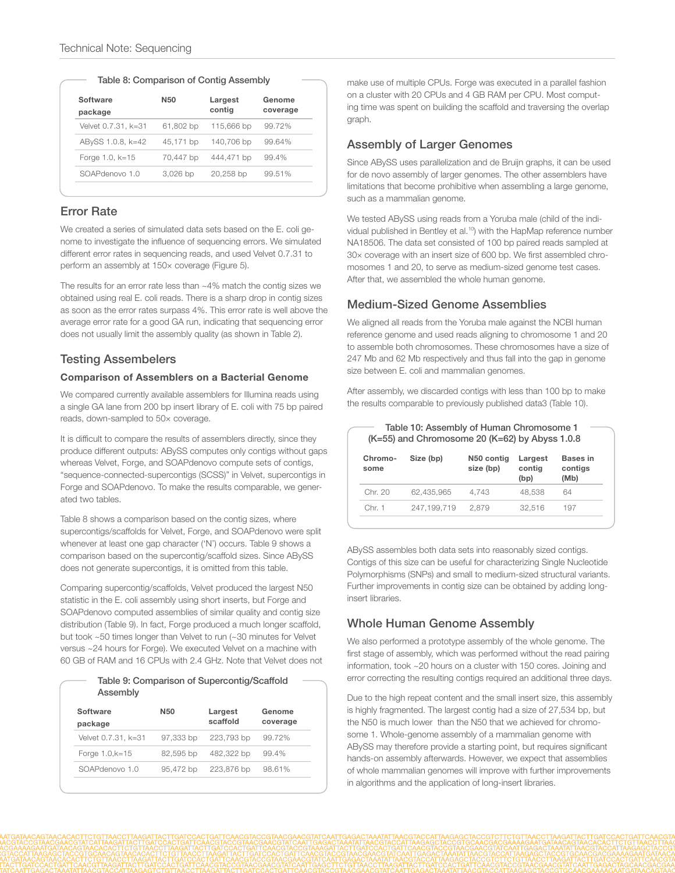|  |  |  |  | Table 8: Comparison of Contig Assembly |  |  |  |  |
|--|--|--|--|----------------------------------------|--|--|--|--|
|--|--|--|--|----------------------------------------|--|--|--|--|

| 61,802 bp | 115,666 bp | 99.72% |
|-----------|------------|--------|
|           |            |        |
| 45,171 bp | 140,706 bp | 99.64% |
| 70,447 bp | 444,471 bp | 99.4%  |
| 3,026 bp  | 20,258 bp  | 99.51% |
|           |            |        |

## Error Rate

We created a series of simulated data sets based on the E. coli genome to investigate the influence of sequencing errors. We simulated different error rates in sequencing reads, and used Velvet 0.7.31 to perform an assembly at 150× coverage (Figure 5).

The results for an error rate less than ~4% match the contig sizes we obtained using real E. coli reads. There is a sharp drop in contig sizes as soon as the error rates surpass 4%. This error rate is well above the average error rate for a good GA run, indicating that sequencing error does not usually limit the assembly quality (as shown in Table 2).

## Testing Assembelers

#### Comparison of Assemblers on a Bacterial Genome

We compared currently available assemblers for Illumina reads using a single GA lane from 200 bp insert library of E. coli with 75 bp paired reads, down-sampled to 50× coverage.

It is difficult to compare the results of assemblers directly, since they produce different outputs: ABySS computes only contigs without gaps whereas Velvet, Forge, and SOAPdenovo compute sets of contigs, "sequence-connected-supercontigs (SCSS)" in Velvet, supercontigs in Forge and SOAPdenovo. To make the results comparable, we generated two tables.

Table 8 shows a comparison based on the contig sizes, where supercontigs/scaffolds for Velvet, Forge, and SOAPdenovo were split whenever at least one gap character ('N') occurs. Table 9 shows a comparison based on the supercontig/scaffold sizes. Since ABySS does not generate supercontigs, it is omitted from this table.

Comparing supercontig/scaffolds, Velvet produced the largest N50 statistic in the E. coli assembly using short inserts, but Forge and SOAPdenovo computed assemblies of similar quality and contig size distribution (Table 9). In fact, Forge produced a much longer scaffold, but took ~50 times longer than Velvet to run (~30 minutes for Velvet versus ~24 hours for Forge). We executed Velvet on a machine with 60 GB of RAM and 16 CPUs with 2.4 GHz. Note that Velvet does not

| Table 9: Comparison of Supercontig/Scaffold<br>Assembly |                 |                     |                    |  |
|---------------------------------------------------------|-----------------|---------------------|--------------------|--|
| Software<br>package                                     | N <sub>50</sub> | Largest<br>scaffold | Genome<br>coverage |  |
| Velvet 0.7.31, k=31                                     | 97,333 bp       | 223,793 bp          | 99.72%             |  |
| Forge 1.0, k=15                                         | 82,595 bp       | 482,322 bp          | 99.4%              |  |

SOAPdenovo 1.0 95,472 bp 223,876 bp 98.61%

make use of multiple CPUs. Forge was executed in a parallel fashion on a cluster with 20 CPUs and 4 GB RAM per CPU. Most computing time was spent on building the scaffold and traversing the overlap graph.

## Assembly of Larger Genomes

Since ABySS uses parallelization and de Bruijn graphs, it can be used for de novo assembly of larger genomes. The other assemblers have limitations that become prohibitive when assembling a large genome, such as a mammalian genome.

We tested ABySS using reads from a Yoruba male (child of the individual published in Bentley et al.<sup>10</sup>) with the HapMap reference number NA18506. The data set consisted of 100 bp paired reads sampled at 30× coverage with an insert size of 600 bp. We first assembled chromosomes 1 and 20, to serve as medium-sized genome test cases. After that, we assembled the whole human genome.

## Medium-Sized Genome Assemblies

We aligned all reads from the Yoruba male against the NCBI human reference genome and used reads aligning to chromosome 1 and 20 to assemble both chromosomes. These chromosomes have a size of 247 Mb and 62 Mb respectively and thus fall into the gap in genome size between E. coli and mammalian genomes.

After assembly, we discarded contigs with less than 100 bp to make the results comparable to previously published data3 (Table 10).

Table 10: Assembly of Human Chromosome 1

| Chromo-<br>some | Size (bp)   | N50 contig<br>size (bp) | Largest<br>contig<br>(bp) | <b>Bases in</b><br>contigs<br>(Mb) |
|-----------------|-------------|-------------------------|---------------------------|------------------------------------|
| Chr 20          | 62.435.965  | 4.743                   | 48.538                    | 64                                 |
| Chr 1           | 247.199.719 | 2.879                   | 32.516                    | 197                                |

ABySS assembles both data sets into reasonably sized contigs. Contigs of this size can be useful for characterizing Single Nucleotide Polymorphisms (SNPs) and small to medium-sized structural variants. Further improvements in contig size can be obtained by adding longinsert libraries.

## Whole Human Genome Assembly

We also performed a prototype assembly of the whole genome. The first stage of assembly, which was performed without the read pairing information, took ~20 hours on a cluster with 150 cores. Joining and error correcting the resulting contigs required an additional three days.

Due to the high repeat content and the small insert size, this assembly is highly fragmented. The largest contig had a size of 27,534 bp, but the N50 is much lower than the N50 that we achieved for chromosome 1. Whole-genome assembly of a mammalian genome with ABySS may therefore provide a starting point, but requires significant hands-on assembly afterwards. However, we expect that assemblies of whole mammalian genomes will improve with further improvements in algorithms and the application of long-insert libraries.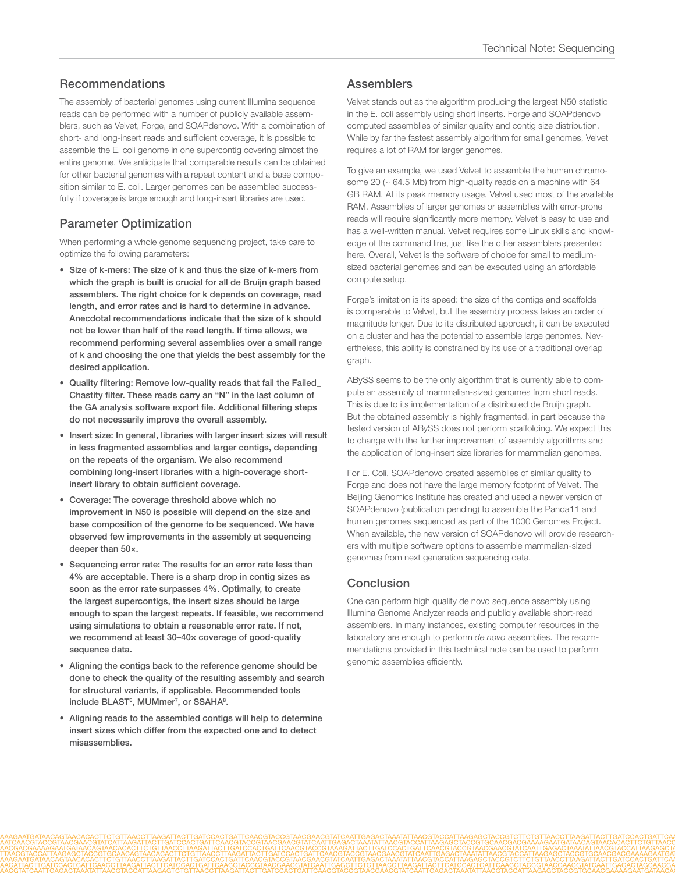## Recommendations

The assembly of bacterial genomes using current Illumina sequence reads can be performed with a number of publicly available assemblers, such as Velvet, Forge, and SOAPdenovo. With a combination of short- and long-insert reads and sufficient coverage, it is possible to assemble the E. coli genome in one supercontig covering almost the entire genome. We anticipate that comparable results can be obtained for other bacterial genomes with a repeat content and a base composition similar to E. coli. Larger genomes can be assembled successfully if coverage is large enough and long-insert libraries are used.

# Parameter Optimization

When performing a whole genome sequencing project, take care to optimize the following parameters:

- • Size of k-mers: The size of k and thus the size of k-mers from which the graph is built is crucial for all de Bruijn graph based assemblers. The right choice for k depends on coverage, read length, and error rates and is hard to determine in advance. Anecdotal recommendations indicate that the size of k should not be lower than half of the read length. If time allows, we recommend performing several assemblies over a small range of k and choosing the one that yields the best assembly for the desired application.
- Quality filtering: Remove low-quality reads that fail the Failed\_ Chastity filter. These reads carry an "N" in the last column of the GA analysis software export file. Additional filtering steps do not necessarily improve the overall assembly.
- Insert size: In general, libraries with larger insert sizes will result in less fragmented assemblies and larger contigs, depending on the repeats of the organism. We also recommend combining long-insert libraries with a high-coverage shortinsert library to obtain sufficient coverage.
- Coverage: The coverage threshold above which no improvement in N50 is possible will depend on the size and base composition of the genome to be sequenced. We have observed few improvements in the assembly at sequencing deeper than 50×.
- Sequencing error rate: The results for an error rate less than 4% are acceptable. There is a sharp drop in contig sizes as soon as the error rate surpasses 4%. Optimally, to create the largest supercontigs, the insert sizes should be large enough to span the largest repeats. If feasible, we recommend using simulations to obtain a reasonable error rate. If not, we recommend at least 30–40× coverage of good-quality sequence data.
- Aligning the contigs back to the reference genome should be done to check the quality of the resulting assembly and search for structural variants, if applicable. Recommended tools include BLAST<sup>6</sup>, MUMmer<sup>7</sup>, or SSAHA<sup>8</sup>.
- • Aligning reads to the assembled contigs will help to determine insert sizes which differ from the expected one and to detect misassemblies.

## **Assemblers**

Velvet stands out as the algorithm producing the largest N50 statistic in the E. coli assembly using short inserts. Forge and SOAPdenovo computed assemblies of similar quality and contig size distribution. While by far the fastest assembly algorithm for small genomes, Velvet requires a lot of RAM for larger genomes.

To give an example, we used Velvet to assemble the human chromosome 20 (~ 64.5 Mb) from high-quality reads on a machine with 64 GB RAM. At its peak memory usage, Velvet used most of the available RAM. Assemblies of larger genomes or assemblies with error-prone reads will require significantly more memory. Velvet is easy to use and has a well-written manual. Velvet requires some Linux skills and knowledge of the command line, just like the other assemblers presented here. Overall, Velvet is the software of choice for small to mediumsized bacterial genomes and can be executed using an affordable compute setup.

Forge's limitation is its speed: the size of the contigs and scaffolds is comparable to Velvet, but the assembly process takes an order of magnitude longer. Due to its distributed approach, it can be executed on a cluster and has the potential to assemble large genomes. Nevertheless, this ability is constrained by its use of a traditional overlap graph.

ABySS seems to be the only algorithm that is currently able to compute an assembly of mammalian-sized genomes from short reads. This is due to its implementation of a distributed de Bruijn graph. But the obtained assembly is highly fragmented, in part because the tested version of ABySS does not perform scaffolding. We expect this to change with the further improvement of assembly algorithms and the application of long-insert size libraries for mammalian genomes.

For E. Coli, SOAPdenovo created assemblies of similar quality to Forge and does not have the large memory footprint of Velvet. The Beijing Genomics Institute has created and used a newer version of SOAPdenovo (publication pending) to assemble the Panda11 and human genomes sequenced as part of the 1000 Genomes Project. When available, the new version of SOAPdenovo will provide researchers with multiple software options to assemble mammalian-sized genomes from next generation sequencing data.

## Conclusion

One can perform high quality de novo sequence assembly using Illumina Genome Analyzer reads and publicly available short-read assemblers. In many instances, existing computer resources in the laboratory are enough to perform *de novo* assemblies. The recommendations provided in this technical note can be used to perform genomic assemblies efficiently.